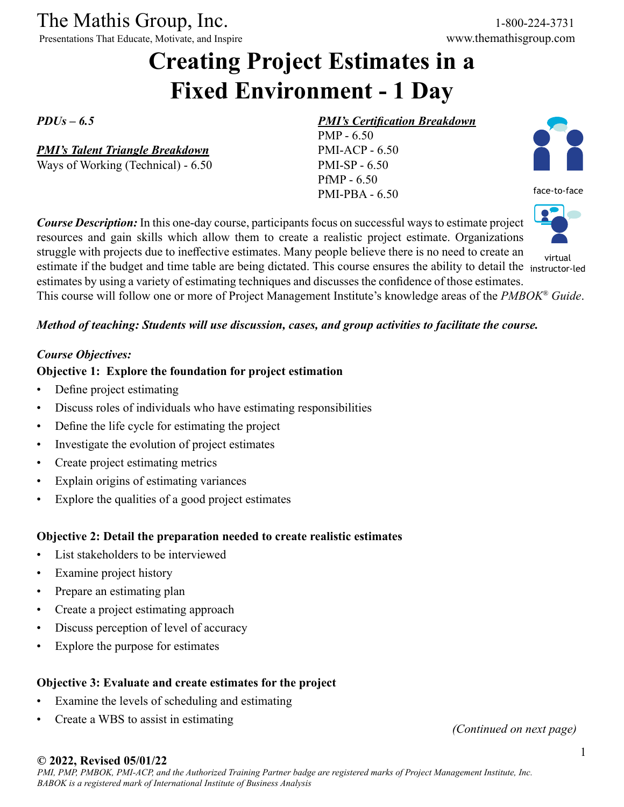The Mathis Group, Inc. 1-800-224-3731

Presentations That Educate, Motivate, and Inspire www.themathisgroup.com

# **Creating Project Estimates in a Fixed Environment - 1 Day**

*PDUs – 6.5*

*PMI's Talent Triangle Breakdown*

Ways of Working (Technical) - 6.50

#### *PMI's Certification Breakdown*

PMP - 6.50 PMI-ACP - 6.50 PMI-SP - 6.50 PfMP - 6.50 PMI-PBA - 6.50



face-to-face



virtual

resources and gain skills which allow them to create a realistic project estimate. Organizations struggle with projects due to ineffective estimates. Many people believe there is no need to create an estimate if the budget and time table are being dictated. This course ensures the ability to detail the instructor-ledestimates by using a variety of estimating techniques and discusses the confidence of those estimates. This course will follow one or more of Project Management Institute's knowledge areas of the *PMBOK® Guide*.

#### *Method of teaching: Students will use discussion, cases, and group activities to facilitate the course.*

*Course Description:* In this one-day course, participants focus on successful ways to estimate project

#### *Course Objectives:*

#### **Objective 1: Explore the foundation for project estimation**

- Define project estimating
- Discuss roles of individuals who have estimating responsibilities
- Define the life cycle for estimating the project
- Investigate the evolution of project estimates
- Create project estimating metrics
- Explain origins of estimating variances
- Explore the qualities of a good project estimates

### **Objective 2: Detail the preparation needed to create realistic estimates**

- List stakeholders to be interviewed
- Examine project history
- Prepare an estimating plan
- Create a project estimating approach
- Discuss perception of level of accuracy
- Explore the purpose for estimates

### **Objective 3: Evaluate and create estimates for the project**

- Examine the levels of scheduling and estimating
- Create a WBS to assist in estimating *(Continued on next page)*

#### **© 2022, Revised 05/01/22**